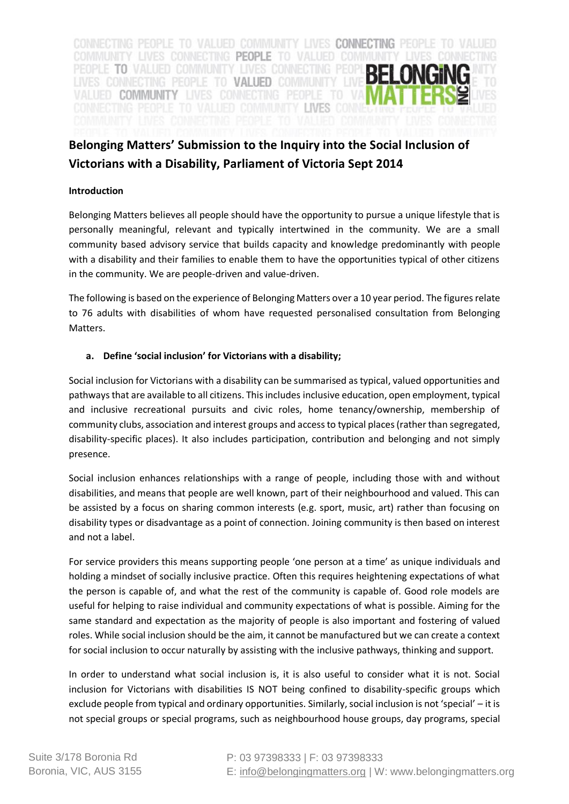

# **Belonging Matters' Submission to the Inquiry into the Social Inclusion of Victorians with a Disability, Parliament of Victoria Sept 2014**

### **Introduction**

Belonging Matters believes all people should have the opportunity to pursue a unique lifestyle that is personally meaningful, relevant and typically intertwined in the community. We are a small community based advisory service that builds capacity and knowledge predominantly with people with a disability and their families to enable them to have the opportunities typical of other citizens in the community. We are people-driven and value-driven.

The following is based on the experience of Belonging Matters over a 10 year period. The figures relate to 76 adults with disabilities of whom have requested personalised consultation from Belonging Matters.

### **a. Define 'social inclusion' for Victorians with a disability;**

Social inclusion for Victorians with a disability can be summarised as typical, valued opportunities and pathways that are available to all citizens. This includes inclusive education, open employment, typical and inclusive recreational pursuits and civic roles, home tenancy/ownership, membership of community clubs, association and interest groups and accessto typical places (rather than segregated, disability-specific places). It also includes participation, contribution and belonging and not simply presence.

Social inclusion enhances relationships with a range of people, including those with and without disabilities, and means that people are well known, part of their neighbourhood and valued. This can be assisted by a focus on sharing common interests (e.g. sport, music, art) rather than focusing on disability types or disadvantage as a point of connection. Joining community is then based on interest and not a label.

For service providers this means supporting people 'one person at a time' as unique individuals and holding a mindset of socially inclusive practice. Often this requires heightening expectations of what the person is capable of, and what the rest of the community is capable of. Good role models are useful for helping to raise individual and community expectations of what is possible. Aiming for the same standard and expectation as the majority of people is also important and fostering of valued roles. While social inclusion should be the aim, it cannot be manufactured but we can create a context for social inclusion to occur naturally by assisting with the inclusive pathways, thinking and support.

In order to understand what social inclusion is, it is also useful to consider what it is not. Social inclusion for Victorians with disabilities IS NOT being confined to disability-specific groups which exclude people from typical and ordinary opportunities. Similarly, social inclusion is not 'special' – it is not special groups or special programs, such as neighbourhood house groups, day programs, special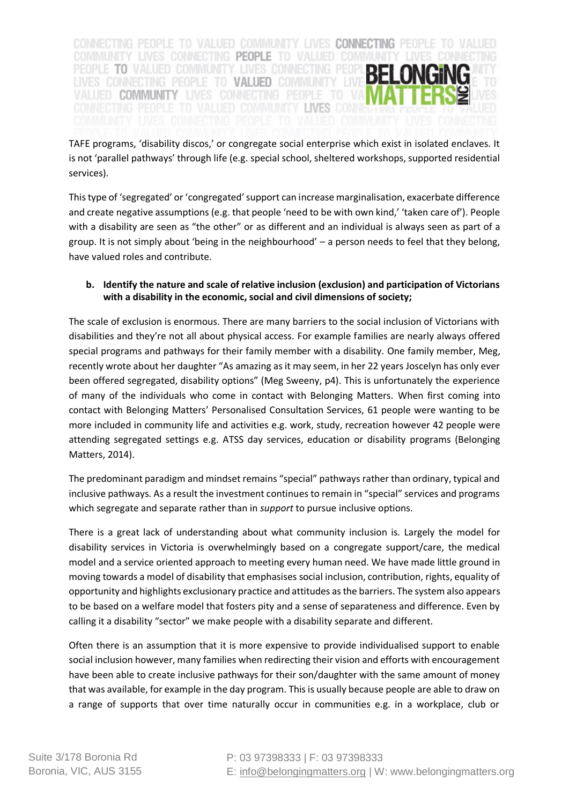CONNECTING PEOPLE TO VALUED COMMUNITY LIVES CONNECTING PEOPLE TO VALUED COMMUNITY LIVES CONNECTING PEOPLE TO VALUED CO PEOPLE TO VALUED COMMUNITY LIVES CONNECTING PEOP LIVES CONNECTING PEOPLE TO VALUED COMMUNITY LIVE VALUED COMMUNITY LIVES **INES CON** 

TAFE programs, 'disability discos,' or congregate social enterprise which exist in isolated enclaves. It is not 'parallel pathways' through life (e.g. special school, sheltered workshops, supported residential services).

This type of 'segregated' or 'congregated' support can increase marginalisation, exacerbate difference and create negative assumptions (e.g. that people 'need to be with own kind,' 'taken care of'). People with a disability are seen as "the other" or as different and an individual is always seen as part of a group. It is not simply about 'being in the neighbourhood' – a person needs to feel that they belong, have valued roles and contribute.

# **b. Identify the nature and scale of relative inclusion (exclusion) and participation of Victorians with a disability in the economic, social and civil dimensions of society;**

The scale of exclusion is enormous. There are many barriers to the social inclusion of Victorians with disabilities and they're not all about physical access. For example families are nearly always offered special programs and pathways for their family member with a disability. One family member, Meg, recently wrote about her daughter "As amazing as it may seem, in her 22 years Joscelyn has only ever been offered segregated, disability options" (Meg Sweeny, p4). This is unfortunately the experience of many of the individuals who come in contact with Belonging Matters. When first coming into contact with Belonging Matters' Personalised Consultation Services, 61 people were wanting to be more included in community life and activities e.g. work, study, recreation however 42 people were attending segregated settings e.g. ATSS day services, education or disability programs (Belonging Matters, 2014).

The predominant paradigm and mindset remains "special" pathways rather than ordinary, typical and inclusive pathways. As a result the investment continues to remain in "special" services and programs which segregate and separate rather than in *support* to pursue inclusive options.

There is a great lack of understanding about what community inclusion is. Largely the model for disability services in Victoria is overwhelmingly based on a congregate support/care, the medical model and a service oriented approach to meeting every human need. We have made little ground in moving towards a model of disability that emphasises social inclusion, contribution, rights, equality of opportunity and highlights exclusionary practice and attitudes as the barriers. The system also appears to be based on a welfare model that fosters pity and a sense of separateness and difference. Even by calling it a disability "sector" we make people with a disability separate and different.

Often there is an assumption that it is more expensive to provide individualised support to enable social inclusion however, many families when redirecting their vision and efforts with encouragement have been able to create inclusive pathways for their son/daughter with the same amount of money that was available, for example in the day program. This is usually because people are able to draw on a range of supports that over time naturally occur in communities e.g. in a workplace, club or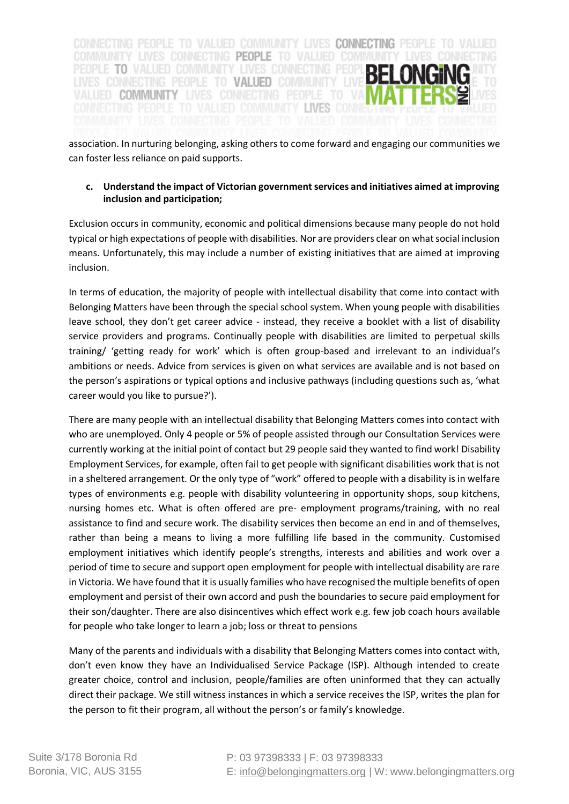CONNECTING PEOPLE TO VALUED COMMUNITY LIVES CONNECTING PEOPLE TO VALUED COMMUNITY LIVES CONNECTING PEOPLE TO VALUED O PEOPLE TO VALUED COMMUNITY LIVES CONNECTING PEOP TO VALUED COMMUNITY VALUED COMMUNITY

association. In nurturing belonging, asking others to come forward and engaging our communities we can foster less reliance on paid supports.

### **c. Understand the impact of Victorian government services and initiatives aimed at improving inclusion and participation;**

Exclusion occurs in community, economic and political dimensions because many people do not hold typical or high expectations of people with disabilities. Nor are providers clear on what social inclusion means. Unfortunately, this may include a number of existing initiatives that are aimed at improving inclusion.

In terms of education, the majority of people with intellectual disability that come into contact with Belonging Matters have been through the special school system. When young people with disabilities leave school, they don't get career advice - instead, they receive a booklet with a list of disability service providers and programs. Continually people with disabilities are limited to perpetual skills training/ 'getting ready for work' which is often group-based and irrelevant to an individual's ambitions or needs. Advice from services is given on what services are available and is not based on the person's aspirations or typical options and inclusive pathways (including questions such as, 'what career would you like to pursue?').

There are many people with an intellectual disability that Belonging Matters comes into contact with who are unemployed. Only 4 people or 5% of people assisted through our Consultation Services were currently working at the initial point of contact but 29 people said they wanted to find work! Disability Employment Services, for example, often fail to get people with significant disabilities work that is not in a sheltered arrangement. Or the only type of "work" offered to people with a disability is in welfare types of environments e.g. people with disability volunteering in opportunity shops, soup kitchens, nursing homes etc. What is often offered are pre- employment programs/training, with no real assistance to find and secure work. The disability services then become an end in and of themselves, rather than being a means to living a more fulfilling life based in the community. Customised employment initiatives which identify people's strengths, interests and abilities and work over a period of time to secure and support open employment for people with intellectual disability are rare in Victoria. We have found that it is usually families who have recognised the multiple benefits of open employment and persist of their own accord and push the boundaries to secure paid employment for their son/daughter. There are also disincentives which effect work e.g. few job coach hours available for people who take longer to learn a job; loss or threat to pensions

Many of the parents and individuals with a disability that Belonging Matters comes into contact with, don't even know they have an Individualised Service Package (ISP). Although intended to create greater choice, control and inclusion, people/families are often uninformed that they can actually direct their package. We still witness instances in which a service receives the ISP, writes the plan for the person to fit their program, all without the person's or family's knowledge.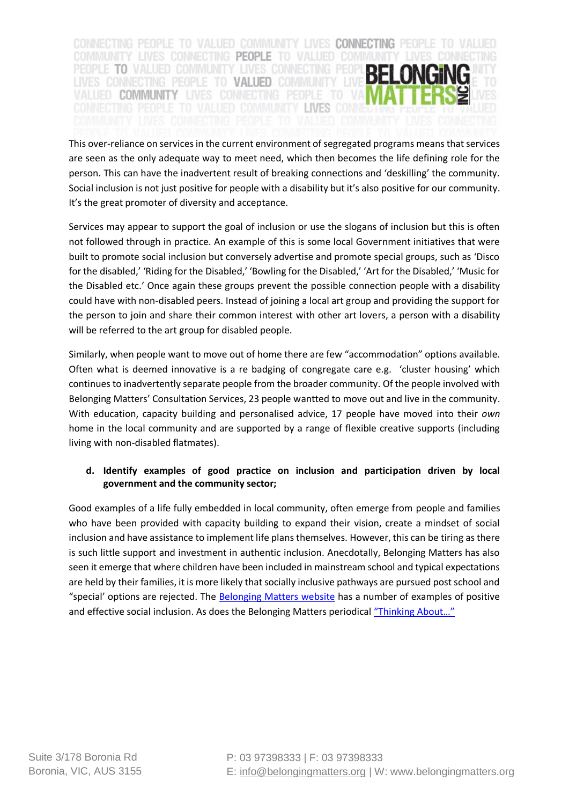CONNECTING PEOPLE TO VALUED COMMUNITY LIVES CONNECTING PEOPLE TO VALUED COMMUNITY LIVES CONNECTING PEOPLE TO VALUED CO PEOPLE TO VALUED COMMUNITY LIVES CONNECTING PEOP LIVES CONNECTING PEOPLE TO VALUED COMMUNITY VALUED COMMUNITY LIVES

This over-reliance on services in the current environment of segregated programs means that services are seen as the only adequate way to meet need, which then becomes the life defining role for the person. This can have the inadvertent result of breaking connections and 'deskilling' the community. Social inclusion is not just positive for people with a disability but it's also positive for our community. It's the great promoter of diversity and acceptance.

Services may appear to support the goal of inclusion or use the slogans of inclusion but this is often not followed through in practice. An example of this is some local Government initiatives that were built to promote social inclusion but conversely advertise and promote special groups, such as 'Disco for the disabled,' 'Riding for the Disabled,' 'Bowling for the Disabled,' 'Art for the Disabled,' 'Music for the Disabled etc.' Once again these groups prevent the possible connection people with a disability could have with non-disabled peers. Instead of joining a local art group and providing the support for the person to join and share their common interest with other art lovers, a person with a disability will be referred to the art group for disabled people.

Similarly, when people want to move out of home there are few "accommodation" options available. Often what is deemed innovative is a re badging of congregate care e.g. 'cluster housing' which continues to inadvertently separate people from the broader community. Of the people involved with Belonging Matters' Consultation Services, 23 people wantted to move out and live in the community. With education, capacity building and personalised advice, 17 people have moved into their *own* home in the local community and are supported by a range of flexible creative supports (including living with non-disabled flatmates).

# **d. Identify examples of good practice on inclusion and participation driven by local government and the community sector;**

Good examples of a life fully embedded in local community, often emerge from people and families who have been provided with capacity building to expand their vision, create a mindset of social inclusion and have assistance to implement life plans themselves. However, this can be tiring as there is such little support and investment in authentic inclusion. Anecdotally, Belonging Matters has also seen it emerge that where children have been included in mainstream school and typical expectations are held by their families, it is more likely that socially inclusive pathways are pursued post school and "special' options are rejected. The [Belonging Matters website](http://www.belongingmatters.org/#!stories/cfvg) has a number of examples of positive and effective social inclusion. As does the Belonging Matters periodical ["Thinking About…"](http://www.belongingmatters.org/#!periodicals/cg2o)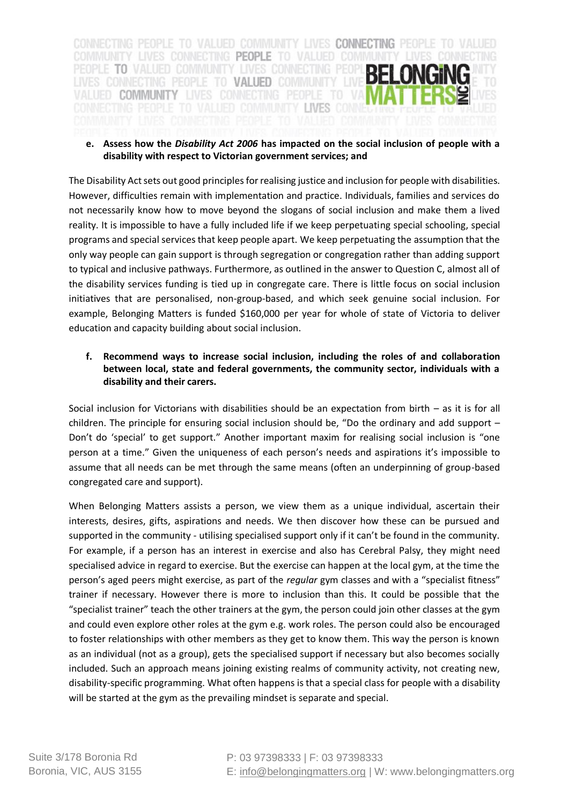CONNECTING PEOPLE TO VALUED COMMUNITY LIVES CONNECTING PEOPLE TO VALUED COMMUNITY LIVES CONNECTING PEOPLE TO VALUED COMMUNITY LIVES CONNEC PEOPLE TO VALUED COMMUNITY LIVES CONNECTING PEOP LIVES CONNECTING PEOPLE TO VALUED COMMUNITY LIVE VALUED COMMUNITY LIVES CONNECTING PEOPLE TO VA CONNECTING PEOPLE TO VALUED COMMUNITY LIVES CON

#### **e. Assess how the** *Disability Act 2006* **has impacted on the social inclusion of people with a disability with respect to Victorian government services; and**

The Disability Act sets out good principles for realising justice and inclusion for people with disabilities. However, difficulties remain with implementation and practice. Individuals, families and services do not necessarily know how to move beyond the slogans of social inclusion and make them a lived reality. It is impossible to have a fully included life if we keep perpetuating special schooling, special programs and special services that keep people apart. We keep perpetuating the assumption that the only way people can gain support is through segregation or congregation rather than adding support to typical and inclusive pathways. Furthermore, as outlined in the answer to Question C, almost all of the disability services funding is tied up in congregate care. There is little focus on social inclusion initiatives that are personalised, non-group-based, and which seek genuine social inclusion. For example, Belonging Matters is funded \$160,000 per year for whole of state of Victoria to deliver education and capacity building about social inclusion.

## **f. Recommend ways to increase social inclusion, including the roles of and collaboration between local, state and federal governments, the community sector, individuals with a disability and their carers.**

Social inclusion for Victorians with disabilities should be an expectation from birth – as it is for all children. The principle for ensuring social inclusion should be, "Do the ordinary and add support – Don't do 'special' to get support." Another important maxim for realising social inclusion is "one person at a time." Given the uniqueness of each person's needs and aspirations it's impossible to assume that all needs can be met through the same means (often an underpinning of group-based congregated care and support).

When Belonging Matters assists a person, we view them as a unique individual, ascertain their interests, desires, gifts, aspirations and needs. We then discover how these can be pursued and supported in the community - utilising specialised support only if it can't be found in the community. For example, if a person has an interest in exercise and also has Cerebral Palsy, they might need specialised advice in regard to exercise. But the exercise can happen at the local gym, at the time the person's aged peers might exercise, as part of the *regular* gym classes and with a "specialist fitness" trainer if necessary. However there is more to inclusion than this. It could be possible that the "specialist trainer" teach the other trainers at the gym, the person could join other classes at the gym and could even explore other roles at the gym e.g. work roles. The person could also be encouraged to foster relationships with other members as they get to know them. This way the person is known as an individual (not as a group), gets the specialised support if necessary but also becomes socially included. Such an approach means joining existing realms of community activity, not creating new, disability-specific programming. What often happens is that a special class for people with a disability will be started at the gym as the prevailing mindset is separate and special.